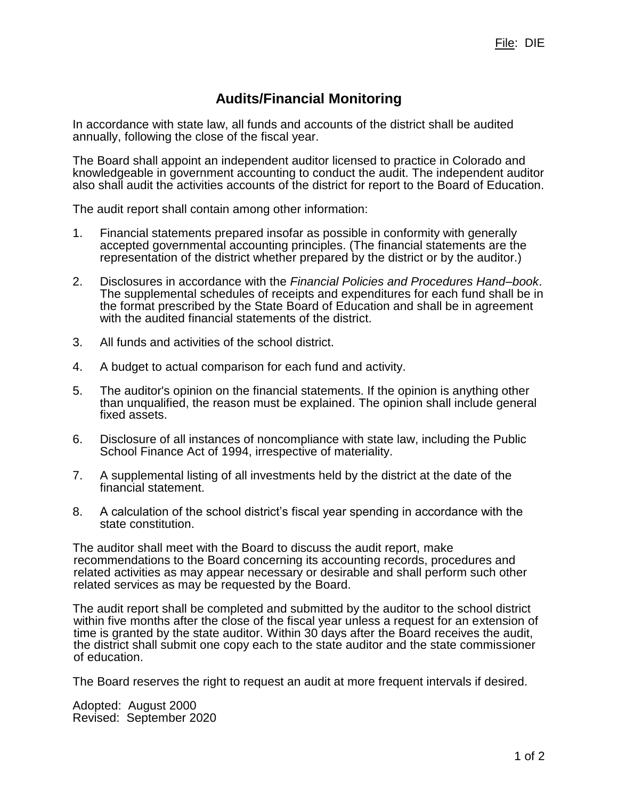## **Audits/Financial Monitoring**

In accordance with state law, all funds and accounts of the district shall be audited annually, following the close of the fiscal year.

The Board shall appoint an independent auditor licensed to practice in Colorado and knowledgeable in government accounting to conduct the audit. The independent auditor also shall audit the activities accounts of the district for report to the Board of Education.

The audit report shall contain among other information:

- 1. Financial statements prepared insofar as possible in conformity with generally accepted governmental accounting principles. (The financial statements are the representation of the district whether prepared by the district or by the auditor.)
- 2. Disclosures in accordance with the *Financial Policies and Procedures Hand–book*. The supplemental schedules of receipts and expenditures for each fund shall be in the format prescribed by the State Board of Education and shall be in agreement with the audited financial statements of the district.
- 3. All funds and activities of the school district.
- 4. A budget to actual comparison for each fund and activity.
- 5. The auditor's opinion on the financial statements. If the opinion is anything other than unqualified, the reason must be explained. The opinion shall include general fixed assets.
- 6. Disclosure of all instances of noncompliance with state law, including the Public School Finance Act of 1994, irrespective of materiality.
- 7. A supplemental listing of all investments held by the district at the date of the financial statement.
- 8. A calculation of the school district's fiscal year spending in accordance with the state constitution.

The auditor shall meet with the Board to discuss the audit report, make recommendations to the Board concerning its accounting records, procedures and related activities as may appear necessary or desirable and shall perform such other related services as may be requested by the Board.

The audit report shall be completed and submitted by the auditor to the school district within five months after the close of the fiscal year unless a request for an extension of time is granted by the state auditor. Within 30 days after the Board receives the audit, the district shall submit one copy each to the state auditor and the state commissioner of education.

The Board reserves the right to request an audit at more frequent intervals if desired.

Adopted: August 2000 Revised: September 2020